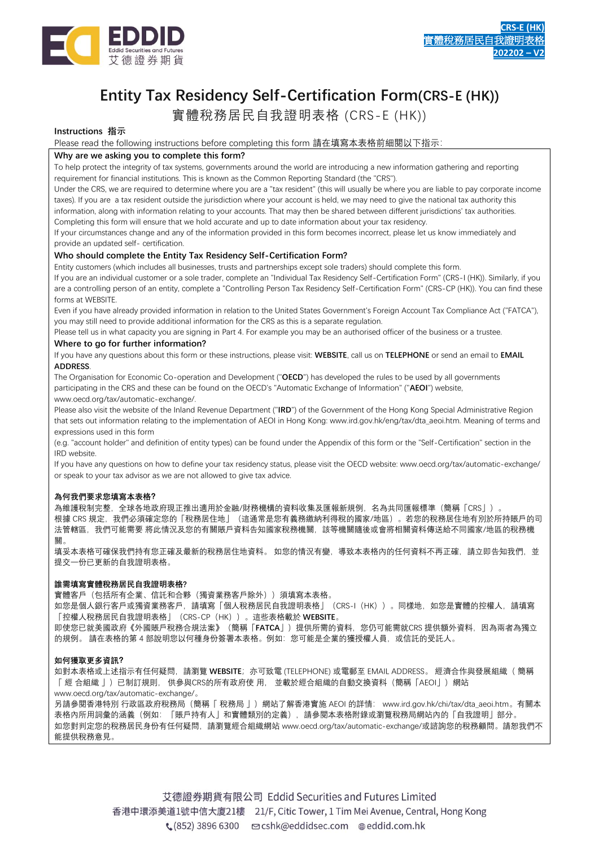

# **Entity Tax Residency Self-Certification Form(CRS-E (HK))**

## 實體稅務居民自我證明表格 (CRS-E (HK))

#### **Instructions 指示**

Please read the following instructions before completing this form 請在填寫本表格前細閱以下指示:

#### **Why are we asking you to complete this form?**

To help protect the integrity of tax systems, governments around the world are introducing a new information gathering and reporting requirement for financial institutions. This is known as the Common Reporting Standard (the "CRS").

Under the CRS, we are required to determine where you are a "tax resident" (this will usually be where you are liable to pay corporate income taxes). If you are a tax resident outside the jurisdiction where your account is held, we may need to give the national tax authority this information, along with information relating to your accounts. That may then be shared between different jurisdictions' tax authorities. Completing this form will ensure that we hold accurate and up to date information about your tax residency.

If your circumstances change and any of the information provided in this form becomes incorrect, please let us know immediately and provide an updated self- certification.

#### **Who should complete the Entity Tax Residency Self-Certification Form?**

Entity customers (which includes all businesses, trusts and partnerships except sole traders) should complete this form.

If you are an individual customer or a sole trader, complete an "Individual Tax Residency Self-Certification Form" (CRS-I (HK)). Similarly, if you are a controlling person of an entity, complete a "Controlling Person Tax Residency Self-Certification Form" (CRS-CP (HK)). You can find these forms at WEBSITE.

Even if you have already provided information in relation to the United States Government's Foreign Account Tax Compliance Act ("FATCA"), you may still need to provide additional information for the CRS as this is a separate regulation.

Please tell us in what capacity you are signing in Part 4. For example you may be an authorised officer of the business or a trustee.

#### **Where to go for further information?**

If you have any questions about this form or these instructions, please visit: **WEBSITE**, call us on **TELEPHONE** or send an email to **EMAIL ADDRESS**.

The Organisation for Economic Co-operation and Development ("**OECD**") has developed the rules to be used by all governments participating in the CRS and these can be found on the OECD's "Automatic Exchange of Information" ("**AEOI**") website, www.oecd.org/tax/automatic-exchange/.

Please also visit the website of the Inland Revenue Department ("**IRD**") of the Government of the Hong Kong Special Administrative Region that sets out information relating to the implementation of AEOI in Hong Kong: www.ird.gov.hk/eng/tax/dta\_aeoi.htm. Meaning of terms and expressions used in this form

(e.g. "account holder" and definition of entity types) can be found under the Appendix of this form or the "Self-Certification" section in the IRD website.

If you have any questions on how to define your tax residency status, please visit the OECD website: www.oecd.org/tax/automatic-exchange/ or speak to your tax advisor as we are not allowed to give tax advice.

#### **為何我們要求您填寫本表格?**

為維護稅制完整,全球各地政府現正推出適用於金融/財務機構的資料收集及匯報新規例,名為共同匯報標準(簡稱「CRS」)。 根據 CRS 規定,我們必須確定您的「稅務居住地」(這通常是您有義務繳納利得稅的國家/地區)。若您的稅務居住地有別於所持賬戶的司 法管轄區,我們可能需要 將此情況及您的有關賬戶資料告知國家稅務機關,該等機關隨後或會將相關資料傳送給不同國家/地區的稅務機 關。

填妥本表格可確保我們持有您正確及最新的稅務居住地資料。 如您的情況有變,導致本表格內的任何資料不再正確, 請立即告知我們, 並 提交一份已更新的自我證明表格。

#### **誰需填寫實體稅務居民自我證明表格?**

實體客戶(包括所有企業、信託和合夥(獨資業務客戶除外))須填寫本表格。 如您是個人銀行客戶或獨資業務客戶,請填寫「個人稅務居民自我證明表格」(CRS-I(HK))。同樣地,如您是實體的控權人,請填寫 「控權人稅務居民自我證明表格」(CRS-CP(HK))。這些表格載於 **WEBSITE**。

即使您已就美國政府《外國賬戶稅務合規法案》(簡稱「**FATCA**」)提供所需的資料,您仍可能需就CRS 提供額外資料,因為兩者為獨立 的規例。 請在表格的第 4 部說明您以何種身份簽署本表格。例如:您可能是企業的獲授權人員,或信託的受託人。

#### **如何獲取更多資訊?**

如對本表格或上述指示有任何疑問,請瀏覽 **WEBSITE**;亦可致電 (TELEPHONE) 或電郵至 EMAIL ADDRESS。 經濟合作與發展組織( 簡稱 「經 合組織 」)已制訂規則, 供參與CRS的所有政府使 用, 並載於經合組織的自動交換資料(簡稱「AEOI」)網站 www.oecd.org/tax/automatic-exchange/。

另請參閱香港特別 行政區政府稅務局(簡稱「 稅務局 」)網站了解香港實施 AEOI 的詳情: www.ird.gov.hk/chi/tax/dta\_aeoi.htm。有關本 表格內所用詞彙的涵義(例如:「賬戶持有人」和實體類別的定義),請參閱本表格附錄或瀏覽稅務局網站內的「自我證明」部分。 如您對判定您的稅務居民身份有任何疑問,請瀏覽經合組織網站 www.oecd.org/tax/automatic-exchange/或諮詢您的稅務顧問。請恕我們不 能提供稅務意見。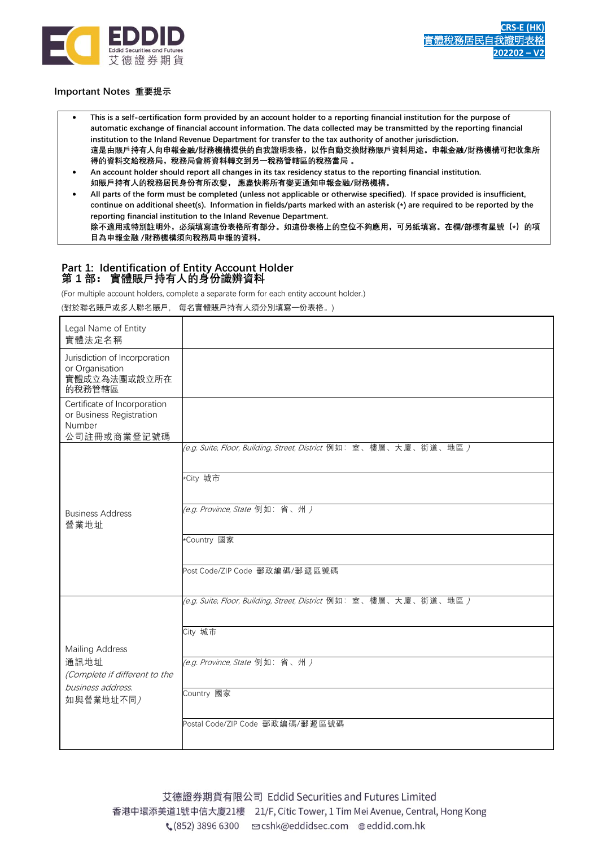

#### **Important Notes 重要提示**

- **This is a self-certification form provided by an account holder to a reporting financial institution for the purpose of automatic exchange of financial account information. The data collected may be transmitted by the reporting financial institution to the Inland Revenue Department for transfer to the tax authority of another jurisdiction. 這是由賬戶持有人向申報金融/財務機構提供的自我證明表格,以作自動交換財務賬戶資料用途。申報金融/財務機構可把收集所 得的資料交給稅務局,稅務局會將資料轉交到另一稅務管轄區的稅務當局 。**
- **An account holder should report all changes in its tax residency status to the reporting financial institution. 如賬戶持有人的稅務居民身份有所改變, 應盡快將所有變更通知申報金融/財務機構。**
- **All parts of the form must be completed (unless not applicable or otherwise specified). If space provided is insufficient, continue on additional sheet(s). Information in fields/parts marked with an asterisk (\*) are required to be reported by the reporting financial institution to the Inland Revenue Department. 除不適用或特別註明外,必須填寫這份表格所有部分。如這份表格上的空位不夠應用,可另紙填寫。在欄/部標有星號(\*)的項 目為申報金融 /財務機構須向稅務局申報的資料。**

## **Part 1: Identification of Entity Account Holder 第 1 部: 實體賬戶持有人的身份識辨資料**

(For multiple account holders, complete a separate form for each entity account holder.)

(對於聯名賬戶或多人聯名賬戶, 每名實體賬戶持有人須分別填寫一份表格。)

| Legal Name of Entity<br>實體法定名稱                                                                    |                                                                    |
|---------------------------------------------------------------------------------------------------|--------------------------------------------------------------------|
| Jurisdiction of Incorporation<br>or Organisation<br>實體成立為法團或設立所在<br>的税務管轄區                        |                                                                    |
| Certificate of Incorporation<br>or Business Registration<br>Number<br>公司註冊或商業登記號碼                 |                                                                    |
| <b>Business Address</b><br>營業地址                                                                   | (e.g. Suite, Floor, Building, Street, District 例如: 室、樓層、大廈、街道、地區 ) |
|                                                                                                   | *City 城市                                                           |
|                                                                                                   | (e.g. Province, State 例如: 省、州)                                     |
|                                                                                                   | *Country 國家                                                        |
|                                                                                                   | Post Code/ZIP Code 郵政編碼/郵遞區號碼                                      |
| <b>Mailing Address</b><br>通訊地址<br>(Complete if different to the<br>business address.<br>如與營業地址不同) | (e.g. Suite, Floor, Building, Street, District 例如: 室、樓層、大廈、街道、地區 ) |
|                                                                                                   | City 城市                                                            |
|                                                                                                   | (e.g. Province, State 例如: 省、州)                                     |
|                                                                                                   | Country 國家                                                         |
|                                                                                                   | Postal Code/ZIP Code 郵政編碼/郵遞區號碼                                    |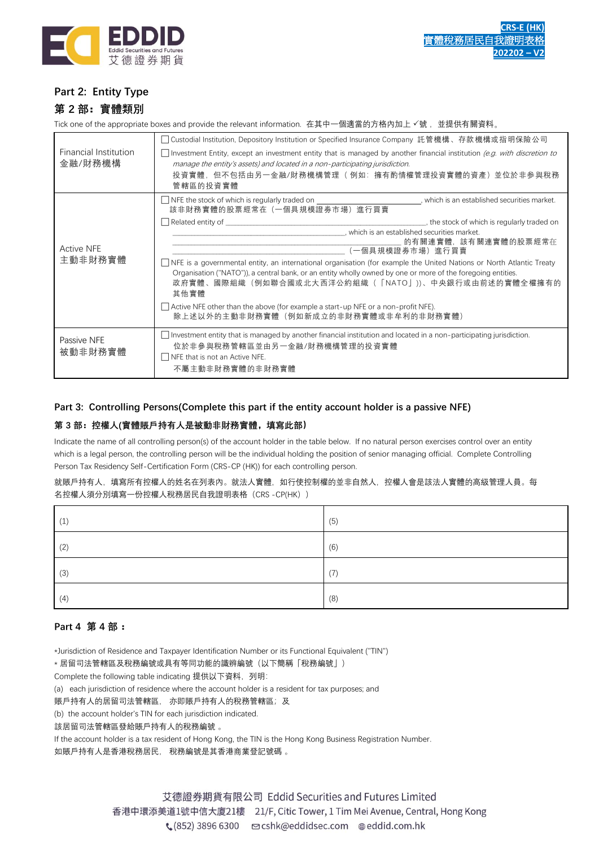

## **Part 2: Entity Type**

## **第 2 部:實體類別**

Tick one of the appropriate boxes and provide the relevant information. 在其中一個適當的方格內加上 V號, 並提供有關資料。

|                       | □ Custodial Institution, Depository Institution or Specified Insurance Company 託管機構、存款機構或指明保險公司                          |
|-----------------------|--------------------------------------------------------------------------------------------------------------------------|
| Financial Institution | Investment Entity, except an investment entity that is managed by another financial institution (e.g. with discretion to |
| 金融/財務機構               | manage the entity's assets) and located in a non-participating jurisdiction.                                             |
|                       | 投資實體,但不包括由另一金融/財務機構管理( 例如:擁有酌情權管理投資實體的資產)並位於非参與稅務                                                                        |
|                       | 管轄區的投資實體                                                                                                                 |
|                       | $\Box$ NFE the stock of which is regularly traded on<br>, which is an established securities market.                     |
|                       | 該非財務實體的股票經常在 (一個具規模證券市場) 進行買賣                                                                                            |
|                       | the stock of which is regularly traded on<br>Related entity of                                                           |
|                       | , which is an established securities market.                                                                             |
|                       | 的有關連實體,該有關連實體的股票經常在                                                                                                      |
| <b>Active NFE</b>     | (一個具規模證券市場) 進行買賣                                                                                                         |
| 主動非財務實體               | NFE is a governmental entity, an international organisation (for example the United Nations or North Atlantic Treaty     |
|                       | Organisation ("NATO")), a central bank, or an entity wholly owned by one or more of the foregoing entities.              |
|                       | 政府實體、國際組織(例如聯合國或北大西洋公約組織(「NATO」))、中央銀行或由前述的實體全權擁有的<br>其他實體                                                               |
|                       | $\Box$ Active NFE other than the above (for example a start-up NFE or a non-profit NFE).                                 |
|                       | 除上述以外的主動非財務實體(例如新成立的非財務實體或非牟利的非財務實體)                                                                                     |
|                       | Investment entity that is managed by another financial institution and located in a non-participating jurisdiction.      |
| Passive NFE           | 位於非參與稅務管轄區並由另一金融/財務機構管理的投資實體                                                                                             |
| 被動非財務實體               | $\Box$ NFE that is not an Active NFE.                                                                                    |
|                       | 不屬主動非財務實體的非財務實體                                                                                                          |
|                       |                                                                                                                          |

## **Part 3: Controlling Persons(Complete this part if the entity account holder is a passive NFE)**

#### **第 3 部:控權人(實體賬戶持有人是被動非財務實體,填寫此部)**

Indicate the name of all controlling person(s) of the account holder in the table below. If no natural person exercises control over an entity which is a legal person, the controlling person will be the individual holding the position of senior managing official. Complete Controlling Person Tax Residency Self-Certification Form (CRS-CP (HK)) for each controlling person.

就賬戶持有人,填寫所有控權人的姓名在列表內。就法人實體,如行使控制權的並非自然人,控權人會是該法人實體的高級管理人員。每 名控權人須分別填寫一份控權人稅務居民自我證明表格(CRS -CP(HK))

| (1) | (5)        |
|-----|------------|
| (2) | (6)        |
| (3) | $\sqrt{7}$ |
| (4) | (8)        |

## **Part 4 第 4 部 :**

\*Jurisdiction of Residence and Taxpayer Identification Number or its Functional Equivalent ("TIN")

\* 居留司法管轄區及稅務編號或具有等同功能的識辨編號(以下簡稱「稅務編號」)

Complete the following table indicating 提供以下資料, 列明:

(a) each jurisdiction of residence where the account holder is a resident for tax purposes; and

賬戶持有人的居留司法管轄區, 亦即賬戶持有人的稅務管轄區; 及

(b) the account holder's TIN for each jurisdiction indicated.

該居留司法管轄區發給賬戶持有人的稅務編號 。

If the account holder is a tax resident of Hong Kong, the TIN is the Hong Kong Business Registration Number. 如賬戶持有人是香港稅務居民, 稅務編號是其香港商業登記號碼 。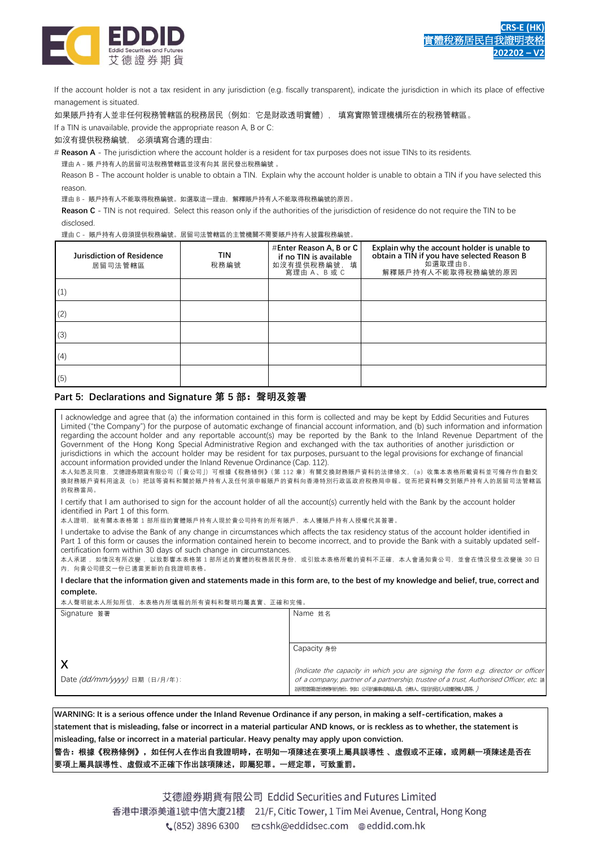

If the account holder is not a tax resident in any jurisdiction (e.g. fiscally transparent), indicate the jurisdiction in which its place of effective management is situated.

如果賬戶持有人並非任何稅務管轄區的稅務居民(例如:它是財政透明實體), 填寫實際管理機構所在的稅務管轄區。

If a TIN is unavailable, provide the appropriate reason A, B or C:

#### 如沒有提供稅務編號, 必須填寫合適的理由:

# **Reason A** - The jurisdiction where the account holder is a resident for tax purposes does not issue TINs to its residents.

理由 A - 賬 戶持有人的居留司法稅務管轄區並沒有向其 居民發出稅務編號 。

Reason B - The account holder is unable to obtain a TIN. Explain why the account holder is unable to obtain a TIN if you have selected this reason.

理由 B - 賬戶持有人不能取得稅務編號。如選取這一理由, 解釋賬戶持有人不能取得稅務編號的原因。

**Reason C** - TIN is not required. Select this reason only if the authorities of the jurisdiction of residence do not require the TIN to be disclosed.

理由 C - 賬戶持有人毋須提供稅務編號。居留司法管轄區的主管機關不需要賬戶持有人披露稅務編號。

| Jurisdiction of Residence<br>居留司法管轄區 | <b>TIN</b><br>稅務編號 | #Enter Reason A, B or C<br>if no TIN is available<br>如沒有提供稅務編號, 填<br>寫理由 A、B 或 C | Explain why the account holder is unable to<br>obtain a TIN if you have selected Reason B<br>如選取理由B.<br>解釋賬戶持有人不能取得稅務編號的原因 |
|--------------------------------------|--------------------|----------------------------------------------------------------------------------|----------------------------------------------------------------------------------------------------------------------------|
| (1)                                  |                    |                                                                                  |                                                                                                                            |
| (2)                                  |                    |                                                                                  |                                                                                                                            |
| (3)                                  |                    |                                                                                  |                                                                                                                            |
| (4)                                  |                    |                                                                                  |                                                                                                                            |
| (5)                                  |                    |                                                                                  |                                                                                                                            |

### **Part 5: Declarations and Signature 第 5 部:聲明及簽署**

I acknowledge and agree that (a) the information contained in this form is collected and may be kept by Eddid Securities and Futures Limited ("the Company") for the purpose of automatic exchange of financial account information, and (b) such information and information regarding the account holder and any reportable account(s) may be reported by the Bank to the Inland Revenue Department of the Government of the Hong Kong Special Administrative Region and exchanged with the tax authorities of another jurisdiction or jurisdictions in which the account holder may be resident for tax purposes, pursuant to the legal provisions for exchange of financial account information provided under the Inland Revenue Ordinance (Cap. 112). 本人知悉及同意,艾德證券期貨有限公司(「貴公司」)可根據《稅務條例》(第 112 章)有關交換財務賬戶資料的法律條文,(a)收集本表格所載資料並可備存作自動交

換財務賬戶資料用途及(b)把該等資料和關於賬戶持有人及任何須申報賬戶的資料向香港特別行政區政府稅務局申報。從而把資料轉交到賬戶持有人的居留司法管轄區 的稅務當局。

I certify that I am authorised to sign for the account holder of all the account(s) currently held with the Bank by the account holder identified in Part 1 of this form.

本人證明,就有關本表格第 1 部所指的實體賬戶持有人現於貴公司持有的所有賬戶,本人獲賬戶持有人授權代其簽署。

I undertake to advise the Bank of any change in circumstances which affects the tax residency status of the account holder identified in Part 1 of this form or causes the information contained herein to become incorrect, and to provide the Bank with a suitably updated selfcertification form within 30 days of such change in circumstances.

本人承諾, 如情況有所改變, 以致影響本表格第 1 部所述的實體的稅務居民身份,或引致本表格所載的資料不正確,本人會通知貴公司,並會在情況發生改變後 30 日 內,向貴公司提交一份已適當更新的自我證明表格。

I declare that the information given and statements made in this form are, to the best of my knowledge and belief, true, correct and **complete.**

本人聲明就本人所知所信,本表格內所填報的所有資料和聲明均屬真實、正確和完備。

| Signature 簽署                 | Name 姓名                                                                                                                                                                                                                        |
|------------------------------|--------------------------------------------------------------------------------------------------------------------------------------------------------------------------------------------------------------------------------|
|                              |                                                                                                                                                                                                                                |
|                              |                                                                                                                                                                                                                                |
|                              | Capacity 身份                                                                                                                                                                                                                    |
| Date (dd/mm/wwv) 目期 (日/月/年): | (Indicate the capacity in which you are signing the form e.g. director or officer<br>of a company, partner of a partnership, trustee of a trust, Authorised Officer, etc. #<br>說明您簽署這份表格執的身份。例如 公司的董事或高级人員、合夥人、信托的受託人或獲费權人員等。) |

**WARNING: It is a serious offence under the Inland Revenue Ordinance if any person, in making a self-certification, makes a statement that is misleading, false or incorrect in a material particular AND knows, or is reckless as to whether, the statement is misleading, false or incorrect in a material particular. Heavy penalty may apply upon conviction. 警告:根據《稅務條例》,如任何人在作出自我證明時,在明知一項陳述在要項上屬具誤導性 、虛假或不正確,或罔顧一項陳述是否在**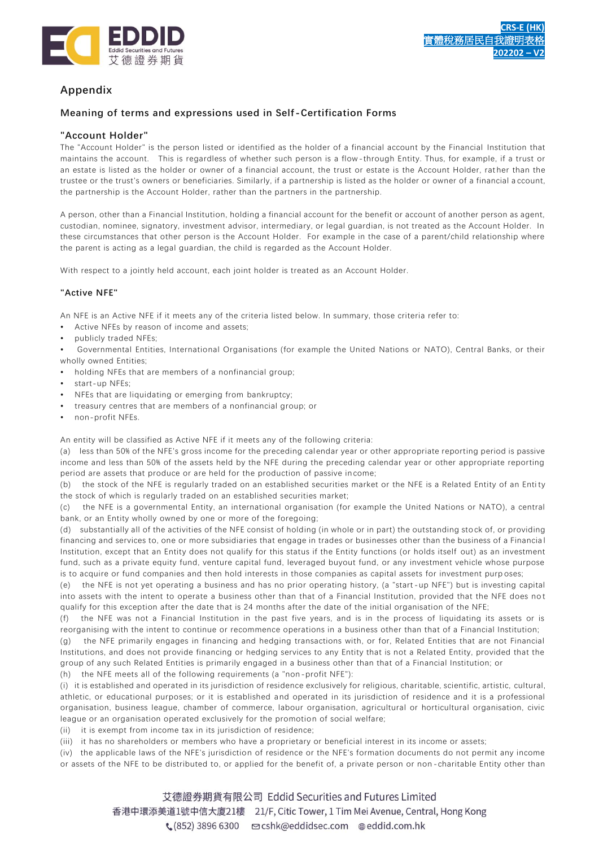

## **Appendix**

## **Meaning of terms and expressions used in Self-Certification Forms**

### **"Account Holder"**

The "Account Holder" is the person listed or identified as the holder of a financial account by the Financial Institution that maintains the account. This is regardless of whether such person is a flow -through Entity. Thus, for example, if a trust or an estate is listed as the holder or owner of a financial account, the trust or estate is the Account Holder, rat her than the trustee or the trust's owners or beneficiaries. Similarly, if a partnership is listed as the holder or owner of a financial a ccount, the partnership is the Account Holder, rather than the partners in the partnership.

A person, other than a Financial Institution, holding a financial account for the benefit or account of another person as agent, custodian, nominee, signatory, investment advisor, intermediary, or legal guardian, is not treated as the Account Holder. In these circumstances that other person is the Account Holder. For example in the case of a parent/child relationship where the parent is acting as a legal guardian, the child is regarded as the Account Holder.

With respect to a jointly held account, each joint holder is treated as an Account Holder.

#### **"Active NFE"**

An NFE is an Active NFE if it meets any of the criteria listed below. In summary, those criteria refer to:

- Active NFEs by reason of income and assets;
- publicly traded NFEs;

• Governmental Entities, International Organisations (for example the United Nations or NATO), Central Banks, or their wholly owned Entities;

- holding NFEs that are members of a nonfinancial group;
- start-up NFEs;
- NFEs that are liquidating or emerging from bankruptcy;
- treasury centres that are members of a nonfinancial group; or
- non-profit NFEs.

An entity will be classified as Active NFE if it meets any of the following criteria:

(a) less than 50% of the NFE's gross income for the preceding calendar year or other appropriate reporting period is passive income and less than 50% of the assets held by the NFE during the preceding calendar year or other appropriate reporting period are assets that produce or are held for the production of passive in come;

(b) the stock of the NFE is regularly traded on an established securities market or the NFE is a Related Entity of an Entity the stock of which is regularly traded on an established securities market;

(c) the NFE is a governmental Entity, an international organisation (for example the United Nations or NATO), a central bank, or an Entity wholly owned by one or more of the foregoing;

(d) substantially all of the activities of the NFE consist of holding (in whole or in part) the outstanding sto ck of, or providing financing and services to, one or more subsidiaries that engage in trades or businesses other than the business of a Financia l Institution, except that an Entity does not qualify for this status if the Entity functions (or holds itself out) as an investment fund, such as a private equity fund, venture capital fund, leveraged buyout fund, or any investment vehicle whose purpose is to acquire or fund companies and then hold interests in those companies as capital assets for investment purp oses;

(e) the NFE is not yet operating a business and has no prior operating history, (a "start -up NFE") but is investing capital into assets with the intent to operate a business other than that of a Financial Institution, provided that the NFE does no t qualify for this exception after the date that is 24 months after the date of the initial organisation of the NFE;

(f) the NFE was not a Financial Institution in the past five years, and is in the process of liquidating its assets or is reorganising with the intent to continue or recommence operations in a business other than that of a Financial Institution;

(g) the NFE primarily engages in financing and hedging transactions with, or for, Related Entities that are not Financial Institutions, and does not provide financing or hedging services to any Entity that is not a Related Entity, provided that the group of any such Related Entities is primarily engaged in a business other than that of a Financial Institution; or

(h) the NFE meets all of the following requirements (a "non-profit NFE"):

(i) it is established and operated in its jurisdiction of residence exclusively for religious, charitable, scientific, artistic, cultural, athletic, or educational purposes; or it is established and operated in its jurisdiction of residence and it is a professional organisation, business league, chamber of commerce, labour organisation, agricultural or horticultural organisation, civic league or an organisation operated exclusively for the promotion of social welfare;

(ii) it is exempt from income tax in its jurisdiction of residence;

(iii) it has no shareholders or members who have a proprietary or beneficial interest in its income or assets;

(iv) the applicable laws of the NFE's jurisdiction of residence or the NFE's formation documents do not permit any income or assets of the NFE to be distributed to, or applied for the benefit of, a private person or non -charitable Entity other than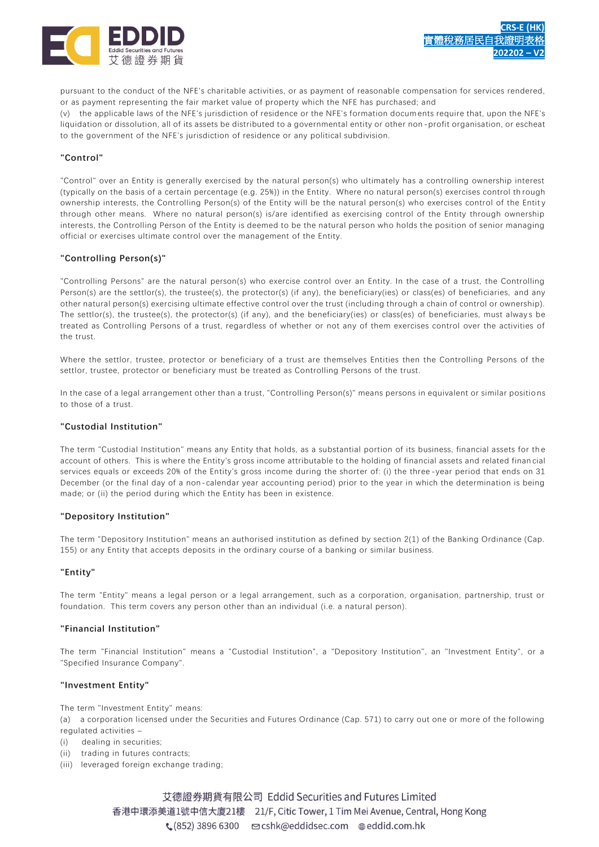

pursuant to the conduct of the NFE's charitable activities, or as payment of reasonable compensation for services rendered, or as payment representing the fair market value of property which the NFE has purchased; and

(v) the applicable laws of the NFE's jurisdiction of residence or the NFE's formation docum ents require that, upon the NFE's liquidation or dissolution, all of its assets be distributed to a governmental entity or other non -profit organisation, or escheat to the government of the NFE's jurisdiction of residence or any political subdivision.

#### **"Control"**

"Control" over an Entity is generally exercised by the natural person(s) who ultimately has a controlling ownership interest (typically on the basis of a certain percentage (e.g. 25%)) in the Entity. Where no natural person(s) exercises control th rough ownership interests, the Controlling Person(s) of the Entity will be the natural person(s) who exercises control of the Entity through other means. Where no natural person(s) is/are identified as exercising control of the Entity through ownership interests, the Controlling Person of the Entity is deemed to be the natural person who holds the position of senior managing official or exercises ultimate control over the management of the Entity.

#### **"Controlling Person(s)"**

"Controlling Persons" are the natural person(s) who exercise control over an Entity. In the case of a trust, the Controlling Person(s) are the settlor(s), the trustee(s), the protector(s) (if any), the beneficiary(ies) or class(es) of beneficiaries, and any other natural person(s) exercising ultimate effective control over the trust (including through a chain of control or ownership). The settlor(s), the trustee(s), the protector(s) (if any), and the beneficiary(ies) or class(es) of beneficiaries, must alway s be treated as Controlling Persons of a trust, regardless of whether or not any of them exercises control over the activities of the trust.

Where the settlor, trustee, protector or beneficiary of a trust are themselves Entities then the Controlling Persons of the settlor, trustee, protector or beneficiary must be treated as Controlling Persons of the trust.

In the case of a legal arrangement other than a trust, "Controlling Person(s)" means persons in equivalent or similar positio ns to those of a trust.

#### **"Custodial Institution"**

The term "Custodial Institution" means any Entity that holds, as a substantial portion of its business, financial assets for the account of others. This is where the Entity's gross income attributable to the holding of financial assets and related finan cial services equals or exceeds 20% of the Entity's gross income during the shorter of: (i) the three -year period that ends on 31 December (or the final day of a non-calendar year accounting period) prior to the year in which the determination is being made; or (ii) the period during which the Entity has been in existence.

#### **"Depository Institution"**

The term "Depository Institution" means an authorised institution as defined by section 2(1) of the Banking Ordinance (Cap. 155) or any Entity that accepts deposits in the ordinary course of a banking or similar business.

#### **"Entity"**

The term "Entity" means a legal person or a legal arrangement, such as a corporation, organisation, partnership, trust or foundation. This term covers any person other than an individual (i.e. a natural person).

#### **"Financial Institution"**

The term "Financial Institution" means a "Custodial Institution", a "Depository Institution", an "Investment Entity", or a "Specified Insurance Company".

#### **"Investment Entity"**

The term "Investment Entity" means:

(a) a corporation licensed under the Securities and Futures Ordinance (Cap. 571) to carry out one or more of the following regulated activities –

- (i) dealing in securities;
- (ii) trading in futures contracts;
- (iii) leveraged foreign exchange trading;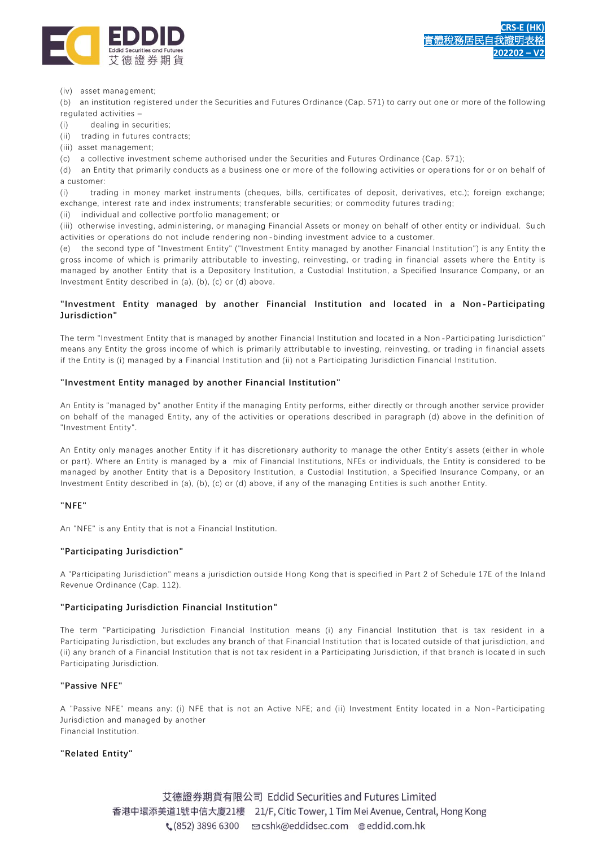

(iv) asset management;

(b) an institution registered under the Securities and Futures Ordinance (Cap. 571) to carry out one or more of the follow ing regulated activities –

(i) dealing in securities;

- (ii) trading in futures contracts;
- (iii) asset management;

(c) a collective investment scheme authorised under the Securities and Futures Ordinance (Cap. 571);

(d) an Entity that primarily conducts as a business one or more of the following activities or opera tions for or on behalf of a customer:

(i) trading in money market instruments (cheques, bills, certificates of deposit, derivatives, etc.); foreign exchange; exchange, interest rate and index instruments; transferable securities; or commodity futures tradi ng;

(ii) individual and collective portfolio management; or

(iii) otherwise investing, administering, or managing Financial Assets or money on behalf of other entity or individual. Su ch activities or operations do not include rendering non-binding investment advice to a customer.

(e) the second type of "Investment Entity" ("Investment Entity managed by another Financial Institution") is any Entity th e gross income of which is primarily attributable to investing, reinvesting, or trading in financial assets where the Entity is managed by another Entity that is a Depository Institution, a Custodial Institution, a Specified Insurance Company, or an Investment Entity described in (a), (b), (c) or (d) above.

#### **"Investment Entity managed by another Financial Institution and located in a Non-Participating Jurisdiction"**

The term "Investment Entity that is managed by another Financial Institution and located in a Non -Participating Jurisdiction" means any Entity the gross income of which is primarily attributable to investing, reinvesting, or trading in financial assets if the Entity is (i) managed by a Financial Institution and (ii) not a Participating Jurisdiction Financial Institution.

#### **"Investment Entity managed by another Financial Institution"**

An Entity is "managed by" another Entity if the managing Entity performs, either directly or through another service provider on behalf of the managed Entity, any of the activities or operations described in paragraph (d) above in the definition of "Investment Entity".

An Entity only manages another Entity if it has discretionary authority to manage the other Entity's assets (either in whole or part). Where an Entity is managed by a mix of Financial Institutions, NFEs or individuals, the Entity is considered to be managed by another Entity that is a Depository Institution, a Custodial Institution, a Specified Insurance Company, or an Investment Entity described in (a), (b), (c) or (d) above, if any of the managing Entities is such another Entity.

#### **"NFE"**

An "NFE" is any Entity that is not a Financial Institution.

#### **"Participating Jurisdiction"**

A "Participating Jurisdiction" means a jurisdiction outside Hong Kong that is specified in Part 2 of Schedule 17E of the Inla nd Revenue Ordinance (Cap. 112).

#### **"Participating Jurisdiction Financial Institution"**

The term "Participating Jurisdiction Financial Institution means (i) any Financial Institution that is tax resident in a Participating Jurisdiction, but excludes any branch of that Financial Institution that is located outside of that jurisdiction, and (ii) any branch of a Financial Institution that is not tax resident in a Participating Jurisdiction, if that branch is locate d in such Participating Jurisdiction.

#### **"Passive NFE"**

A "Passive NFE" means any: (i) NFE that is not an Active NFE; and (ii) Investment Entity located in a Non -Participating Jurisdiction and managed by another Financial Institution.

#### **"Related Entity"**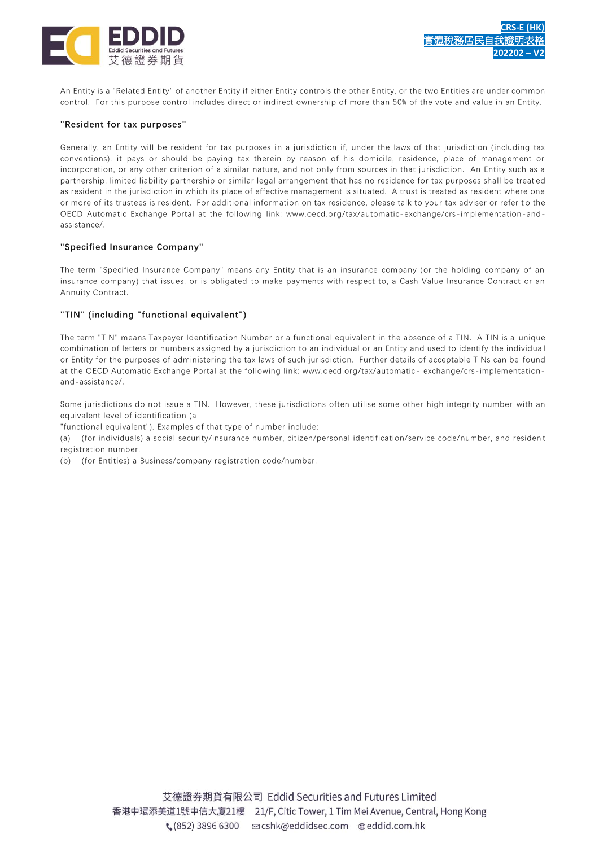

An Entity is a "Related Entity" of another Entity if either Entity controls the other Entity, or the two Entities are under common control. For this purpose control includes direct or indirect ownership of more than 50% of the vote and value in an Entity.

#### **"Resident for tax purposes"**

Generally, an Entity will be resident for tax purposes in a jurisdiction if, under the laws of that jurisdiction (including tax conventions), it pays or should be paying tax therein by reason of his domicile, residence, place of management or incorporation, or any other criterion of a similar nature, and not only from sources in that jurisdiction. An Entity such as a partnership, limited liability partnership or similar legal arrangement that has no residence for tax purposes shall be treat ed as resident in the jurisdiction in which its place of effective management is situated. A trust is treated as resident where one or more of its trustees is resident. For additional information on tax residence, please talk to your tax adviser or refer t o the OECD Automatic Exchange Portal at the following link: www.oecd.org/tax/automatic-exchange/crs-implementation-andassistance/.

#### **"Specified Insurance Company"**

The term "Specified Insurance Company" means any Entity that is an insurance company (or the holding company of an insurance company) that issues, or is obligated to make payments with respect to, a Cash Value Insurance Contract or an Annuity Contract.

#### **"TIN" (including "functional equivalent")**

The term "TIN" means Taxpayer Identification Number or a functional equivalent in the absence of a TIN. A TIN is a unique combination of letters or numbers assigned by a jurisdiction to an individual or an Entity and used to identify the individua l or Entity for the purposes of administering the tax laws of such jurisdiction. Further details of acceptable TINs can be found at the OECD Automatic Exchange Portal at the following link: www.oecd.org/tax/automatic - exchange/crs-implementationand-assistance/.

Some jurisdictions do not issue a TIN. However, these jurisdictions often utilise some other high integrity number with an equivalent level of identification (a

"functional equivalent"). Examples of that type of number include:

(a) (for individuals) a social security/insurance number, citizen/personal identification/service code/number, and residen t registration number.

(b) (for Entities) a Business/company registration code/number.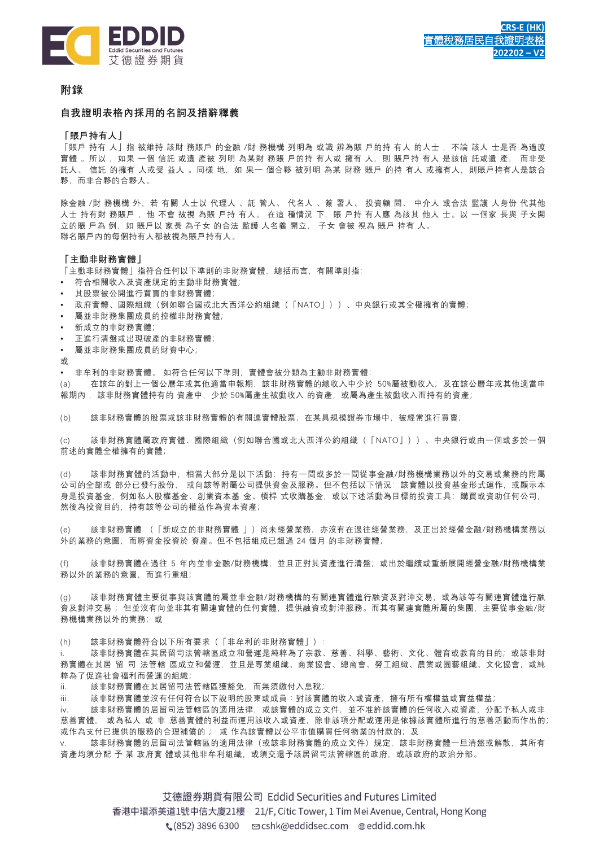

**附錄**

#### **自我證明表格內採用的名詞及措辭釋義**

**「賬戶持有人」**

「賬戶 持有 人」指 被維持 該財 務賬戶 的金融 /財 務機構 列明為 或識 辨為賬 戶的持 有人 的人士 ,不論 該人 士是否 為過渡 實體 。所以 ,如果 一個 信託 或遺 產被 列明 為某財 務賬 戶的持 有人或 擁有 人,則 賬戶持 有人 是該信 託或遺 產, 而非受 託人、 信託 的擁有 人或受 益人 。同樣 地, 如 果一 個合夥 被列明 為某 財務 賬戶 的持 有人 或擁有人,則賬戶持有人是該合 夥,而非合夥的合夥人。

除金融 /財 務機構 外, 若 有關 人士以 代理人 、託 管人、 代名人 、簽 署人、 投資顧 問、 中介人 或合法 監護 人身份 代其他 人士 持有財 務賬戶 ,他 不會 被視 為賬 戶持 有人。 在這 種情況 下, 賬 戶持 有人應 為該其 他人 士。以 一個家 長與 子女開 立的賬 戶為 例, 如 賬戶以 家長 為子女 的合法 監護 人名義 開立, 子女 會被 視為 賬戶 持有 人。 聯名賬戶內的每個持有人都被視為賬戶持有人。

**「主動非財務實體」**

「主動非財務實體」指符合任何以下準則的非財務實體,總括而言,有關準則指:

- 符合相關收入及資產規定的主動非財務實體;
- 其股票被公開進行買賣的非財務實體;
- 政府實體、國際組織(例如聯合國或北大西洋公約組織(「NATO」))、中央銀行或其全權擁有的實體;
- 屬並非財務集團成員的控權非財務實體;
- 新成立的非財務實體;
- 正進行清盤或出現破產的非財務實體;
- 屬並非財務集團成員的財資中心;
- 或

非牟利的非財務實體。如符合任何以下準則, 實體會被分類為主動非財務實體:

(a) 在該年的對上一個公曆年或其他適當申報期,該非財務實體的總收入中少於 50%屬被動收入;及在該公曆年或其他適當申 報期內,該非財務實體持有的資產中,少於 50%屬產生被動收入 的資產,或屬為產生被動收入而持有的資產;

(b) 該非財務實體的股票或該非財務實體的有關連實體股票,在某具規模證券市場中,被經常進行買賣;

(c) 該非財務實體屬政府實體、國際組織(例如聯合國或北大西洋公約組織(「NATO」))、中央銀行或由一個或多於一個 前述的實體全權擁有的實體;

(d) 該非財務實體的活動中,相當大部分是以下活動:持有一間或多於一間從事金融/財務機構業務以外的交易或業務的附屬 公司的全部或 部分已發行股份,或向該等附屬公司提供資金及服務。但不包括以下情況:該實體以投資基金形式運作,或顯示本 身是投資基金,例如私人股權基金、創業資本基 金、槓桿 式收購基金,或以下述活動為目標的投資工具:購買或資助任何公司, 然後為投資目的,持有該等公司的權益作為資本資產;

(e) 該非財務實體 (「新成立的非財務實體 」)尚未經營業務,亦沒有在過往經營業務,及正出於經營金融/財務機構業務以 外的業務的意圖,而將資金投資於 資產。但不包括組成已超過 24 個月 的非財務實體;

(f) 該非財務實體在過往 5 年內並非金融/財務機構,並且正對其資產進行清盤;或出於繼續或重新展開經營金融/財務機構業 務以外的業務的意圖,而進行重組;

(g) 該非財務實體主要從事與該實體的屬並非金融/財務機構的有關連實體進行融資及對沖交易,或為該等有關連實體進行融 資及對沖交易;但並沒有向並非其有關連實體的任何實體,提供融資或對沖服務。而其有關連實體所屬的集團,主要從事金融/財 務機構業務以外的業務;或

(h) 該非財務實體符合以下所有要求(「非牟利的非財務實體」):

該非財務實體在其居留司法管轄區成立和營運是純粹為了宗教、慈善、科學、藝術、文化、體育或教育的目的;或該非財 務實體在其居 留 司 法管轄 區成立和營運, 並且是專業組織、商業協會、總商會、勞工組織、農業或園藝組織、文化協會, 或純 粹為了促進社會福利而營運的組織;

ii. 該非財務實體在其居留司法管轄區獲豁免, 而無須繳付入息稅;

iii. 該非財務實體並沒有任何符合以下說明的股東或成員:對該實體的收入或資產,擁有所有權權益或實益權益;

iv. 該非財務實體的居留司法管轄區的適用法律,或該實體的成立文件,並不准許該實體的任何收入或資產,分配予私人或非 慈善實體, 或為私人 或 非 慈善實體的利益而運用該收入或資產, 除非該項分配或運用是依據該實體所進行的慈善活動而作出的; 或作為支付已提供的服務的合理補償的 ; 或 作為該實體以公平市值購買任何物業的付款的; 及

v. 該非財務實體的居留司法管轄區的適用法律(或該非財務實體的成立文件)規定,該非財務實體一旦清盤或解散,其所有 資產均須分配 予 某 政府實 體或其他非牟利組織, 或須交還予該居留司法管轄區的政府, 或該政府的政治分部。

> 艾德證券期貨有限公司 Eddid Securities and Futures Limited 香港中環添美道1號中信大廈21樓 21/F, Citic Tower, 1 Tim Mei Avenue, Central, Hong Kong ₹ (852) 3896 6300 cshk@eddidsec.com @eddid.com.hk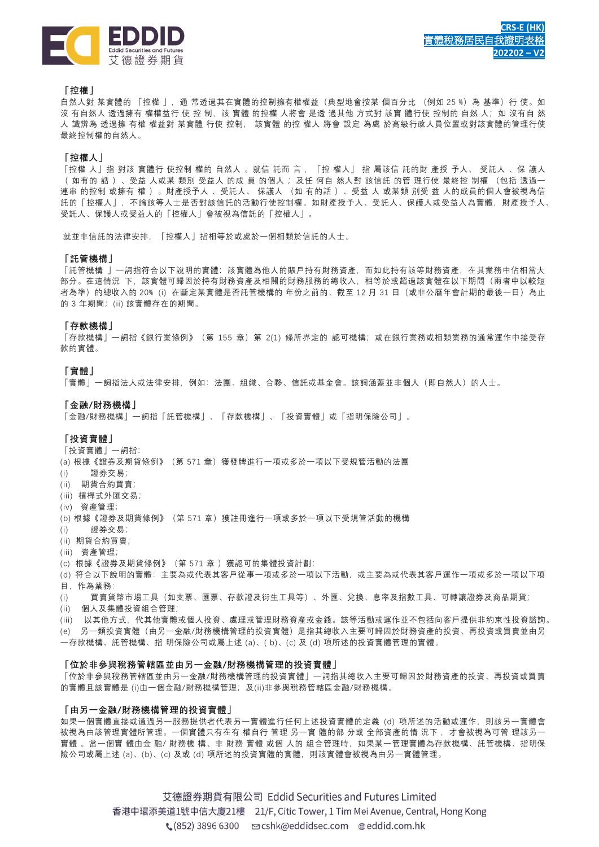

#### **「控權」**

自然人對 某實體的 「控權 」,通 常透過其在實體的控制擁有權權益(典型地會按某 個百分比 (例如 25 %)為 基準)行 使。如 沒 有自然人 透過擁有 權權益行 使 控 制,該 實體 的控權 人將會 是透 過其他 方式對 該實 體行使 控制的 自然 人;如 沒有自 然 人 識辨為 透過擁 有權 權益對 某實體 行使 控制, 該實體 的控 權人 將會 設定 為處 於高級行政人員位置或對該實體的管理行使 最終控制權的自然人。

#### **「控權人」**

「控權 人」指 對該 實體行 使控制 權的 自然人 。就信 託而 言 ,「控 權人」 指 屬該信 託的財 產授 予人、 受託人 、保 護人 ( 如有的 話 ) 、受益 人或某 類別 受益人 的成 員 的個人; 及任 何自 然人對 該信託 的管 理行使 最終控 制權 (包括 透過-連串 的控制 或擁有 權 )。財產授予人 、受託人、 保護人 (如 有的話 )、受益 人 或某類 別受 益 人的成員的個人會被視為信 託的「控權人」,不論該等人士是否對該信託的活動行使控制權。如財產授予人、受託人、保護人或受益人為實體,財產授予人、 受託人、保護人或受益人的「控權人」會被視為信託的「控權人」。

就並非信託的法律安排,「控權人」指相等於或處於一個相類於信託的人士。

#### **「託管機構」**

「託管機構 」一詞指符合以下說明的實體: 該實體為他人的賬戶持有財務資產, 而如此持有該等財務資產, 在其業務中佔相當大 部分。在這情況 下,該實體可歸因於持有財務資產及相關的財務服務的總收入,相等於或超過該實體在以下期間 (兩者中以較短 者為準)的總收入的 20% (i) 在斷定某實體是否託管機構的 年份之前的、截至 12 月 31 日 (或非公曆年會計期的最後一日) 為止 的 3 年期間;(ii) 該實體存在的期間。

#### **「存款機構」**

「存款機構」一詞指《銀行業條例》(第 155 章)第 2(1) 條所界定的 認可機構;或在銀行業務或相類業務的通常運作中接受存 款的實體。

#### **「實體」**

「實體」一詞指法人或法律安排,例如:法團、組織、合夥、信託或基金會。該詞涵蓋並非個人(即自然人)的人士。

#### **「金融/財務機構」**

「金融/財務機構」一詞指「託管機構」、「存款機構」、「投資實體」或「指明保險公司」。

#### **「投資實體」**

「投資實體」一詞指:

- (a) 根據《證券及期貨條例》(第 571 章) 獲發牌進行一項或多於一項以下受規管活動的法團
- (i) 證券交易;
- (ii) 期貨合約買賣;
- (iii) 槓桿式外匯交易;
- (iv) 資產管理;
- (b) 根據《證券及期貨條例》(第 571 章)獲註冊進行一項或多於一項以下受規管活動的機構
- (i) 證券交易;
- (ii) 期貨合約買賣;
- (iii) 資產管理;
- (c) 根據《證券及期貨條例》(第 571 章 )獲認可的集體投資計劃;
- (d) 符合以下說明的實體:主要為或代表其客戶從事一項或多於一項以下活動,或主要為或代表其客戶運作一項或多於一項以下項 目,作為業務:
- (i) 買賣貨幣市場工具(如支票、匯票、存款證及衍生工具等)、外匯、兌換、息率及指數工具、可轉讓證券及商品期貨;
- (ii) 個人及集體投資組合管理;

(iii) 以其他方式,代其他實體或個人投資、處理或管理財務資產或金錢。該等活動或運作並不包括向客戶提供非約束性投資諮詢。 (e) 另一類投資實體(由另一金融/財務機構管理的投資實體)是指其總收入主要可歸因於財務資產的投資、再投資或買賣並由另

一存款機構、託管機構、指 明保險公司或屬上述 (a)、( b)、(c) 及 (d) 項所述的投資實體管理的實體。

#### **「位於非參與稅務管轄區並由另一金融/財務機構管理的投資實體」**

「位於非參與稅務管轄區並由另一金融/財務機構管理的投資實體」一詞指其總收入主要可歸因於財務資產的投資、再投資或買賣 的實體且該實體是 (i)由一個金融/財務機構管理; 及(ii)非參與稅務管轄區金融/財務機構。

#### **「由另一金融/財務機構管理的投資實體」**

如果一個實體直接或通過另一服務提供者代表另一實體進行任何上述投資實體的定義 (d) 項所述的活動或運作,則該另一實體會 被視為由該管理實體所管理。一個實體只有在有 權自行 管理 另一實 體的部 分或 全部資產的情 況下, 才會被視為可管 理該另一 實體 。當一個實 體由金 融/ 財務機 構、非 財務 實體 或個 人的 組合管理時,如果某一管理實體為存款機構、託管機構、指明保 險公司或屬上述 (a)、(b)、(c) 及或 (d) 項所述的投資實體的實體,則該實體會被視為由另一實體管理。